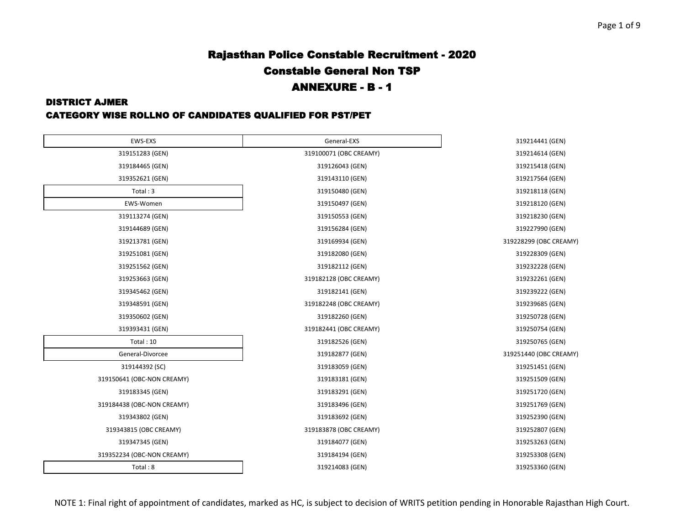#### DISTRICT AJMER

#### CATEGORY WISE ROLLNO OF CANDIDATES QUALIFIED FOR PST/PET

|                        | 319214441 (GEN)        |
|------------------------|------------------------|
| 319100071 (OBC CREAMY) | 319214614 (GEN)        |
| 319126043 (GEN)        | 319215418 (GEN)        |
| 319143110 (GEN)        | 319217564 (GEN)        |
| 319150480 (GEN)        | 319218118 (GEN)        |
| 319150497 (GEN)        | 319218120 (GEN)        |
| 319150553 (GEN)        | 319218230 (GEN)        |
| 319156284 (GEN)        | 319227990 (GEN)        |
| 319169934 (GEN)        | 319228299 (OBC CREAMY) |
| 319182080 (GEN)        | 319228309 (GEN)        |
| 319182112 (GEN)        | 319232228 (GEN)        |
| 319182128 (OBC CREAMY) | 319232261 (GEN)        |
| 319182141 (GEN)        | 319239222 (GEN)        |
| 319182248 (OBC CREAMY) | 319239685 (GEN)        |
| 319182260 (GEN)        | 319250728 (GEN)        |
| 319182441 (OBC CREAMY) | 319250754 (GEN)        |
| 319182526 (GEN)        | 319250765 (GEN)        |
| 319182877 (GEN)        | 319251440 (OBC CREAMY) |
| 319183059 (GEN)        | 319251451 (GEN)        |
| 319183181 (GEN)        | 319251509 (GEN)        |
| 319183291 (GEN)        | 319251720 (GEN)        |
| 319183496 (GEN)        | 319251769 (GEN)        |
| 319183692 (GEN)        | 319252390 (GEN)        |
| 319183878 (OBC CREAMY) | 319252807 (GEN)        |
| 319184077 (GEN)        | 319253263 (GEN)        |
| 319184194 (GEN)        | 319253308 (GEN)        |
| 319214083 (GEN)        | 319253360 (GEN)        |
|                        | General-EXS            |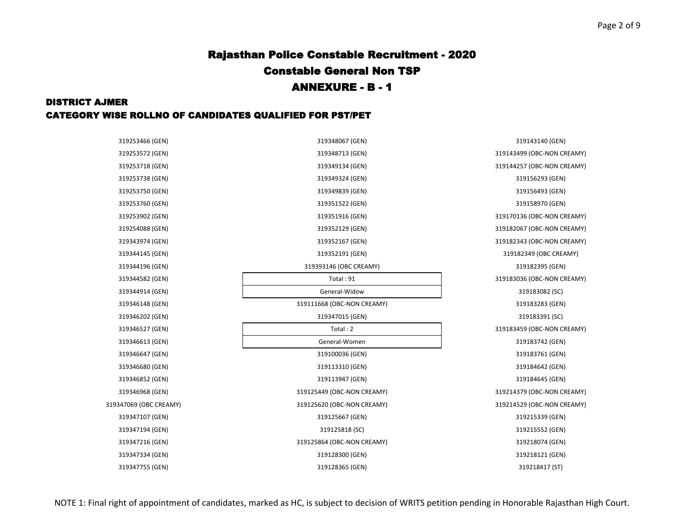#### DISTRICT AJMER CATEGORY WISE ROLLNO OF CANDIDATES QUALIFIED FOR PST/PET

| 319253466 (GEN)        | 319348067 (GEN)            | 319143140 (GEN)            |
|------------------------|----------------------------|----------------------------|
| 319253572 (GEN)        | 319348713 (GEN)            | 319143499 (OBC-NON CREAMY) |
| 319253718 (GEN)        | 319349134 (GEN)            | 319144257 (OBC-NON CREAMY) |
| 319253738 (GEN)        | 319349324 (GEN)            | 319156293 (GEN)            |
| 319253750 (GEN)        | 319349839 (GEN)            | 319156493 (GEN)            |
| 319253760 (GEN)        | 319351522 (GEN)            | 319158970 (GEN)            |
| 319253902 (GEN)        | 319351916 (GEN)            | 319170136 (OBC-NON CREAMY) |
| 319254088 (GEN)        | 319352129 (GEN)            | 319182067 (OBC-NON CREAMY) |
| 319343974 (GEN)        | 319352167 (GEN)            | 319182343 (OBC-NON CREAMY) |
| 319344145 (GEN)        | 319352191 (GEN)            | 319182349 (OBC CREAMY)     |
| 319344196 (GEN)        | 319393146 (OBC CREAMY)     | 319182395 (GEN)            |
| 319344582 (GEN)        | Total: 91                  | 319183036 (OBC-NON CREAMY) |
| 319344914 (GEN)        | General-Widow              | 319183082 (SC)             |
| 319346148 (GEN)        | 319111668 (OBC-NON CREAMY) | 319183283 (GEN)            |
| 319346202 (GEN)        | 319347015 (GEN)            | 319183391 (SC)             |
| 319346527 (GEN)        | Total: 2                   | 319183459 (OBC-NON CREAMY) |
| 319346613 (GEN)        | General-Women              | 319183742 (GEN)            |
| 319346647 (GEN)        | 319100036 (GEN)            | 319183761 (GEN)            |
| 319346680 (GEN)        | 319113310 (GEN)            | 319184642 (GEN)            |
| 319346852 (GEN)        | 319113947 (GEN)            | 319184645 (GEN)            |
| 319346968 (GEN)        | 319125449 (OBC-NON CREAMY) | 319214379 (OBC-NON CREAMY) |
| 319347069 (OBC CREAMY) | 319125620 (OBC-NON CREAMY) | 319214529 (OBC-NON CREAMY) |
| 319347107 (GEN)        | 319125667 (GEN)            | 319215339 (GEN)            |
| 319347194 (GEN)        | 319125818 (SC)             | 319215552 (GEN)            |
| 319347216 (GEN)        | 319125864 (OBC-NON CREAMY) | 319218074 (GEN)            |
| 319347334 (GEN)        | 319128300 (GEN)            | 319218121 (GEN)            |
| 319347755 (GEN)        | 319128365 (GEN)            | 319218417 (ST)             |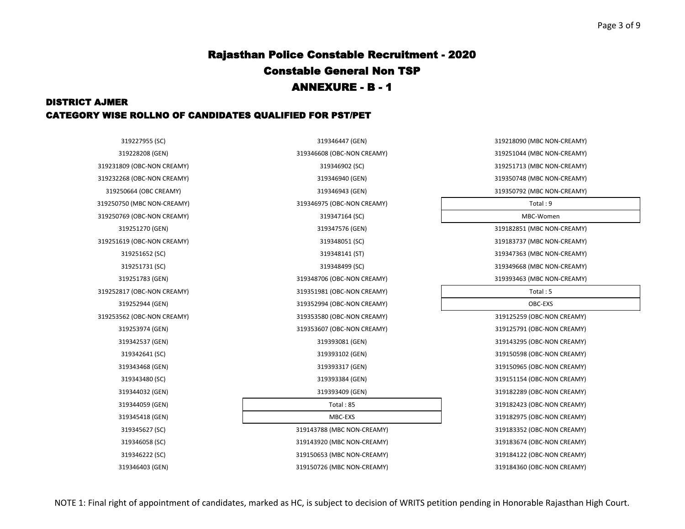### DISTRICT AJMER CATEGORY WISE ROLLNO OF CANDIDATES QUALIFIED FOR PST/PET

319227955 (SC) 319346447 (GEN) 319218090 (MBC NON-CREAMY) 319228208 (GEN) 319346608 (OBC-NON CREAMY) 319251044 (MBC NON-CREAMY) 319231809 (OBC-NON CREAMY) 319346902 (SC) 319251713 (MBC NON-CREAMY) 319232268 (OBC-NON CREAMY) 319346940 (GEN) 319350748 (MBC NON-CREAMY) 319250664 (OBC CREAMY) 319346943 (GEN) 319350792 (MBC NON-CREAMY) 319250750 (MBC NON-CREAMY) 319346975 (OBC-NON CREAMY) Total : 9 319250769 (OBC-NON CREAMY) 319347164 (SC) MBC-Women 319251270 (GEN) 319347576 (GEN) 319182851 (MBC NON-CREAMY) 319251619 (OBC-NON CREAMY) 319348051 (SC) 319183737 (MBC NON-CREAMY) 319251652 (SC) 319348141 (ST) 319347363 (MBC NON-CREAMY) 319251731 (SC) 319348499 (SC) 319349668 (MBC NON-CREAMY) 319251783 (GEN) 319348706 (OBC-NON CREAMY) 319393463 (MBC NON-CREAMY) 319252817 (OBC-NON CREAMY) 319351981 (OBC-NON CREAMY) Total : 5 319252944 (GEN) 319352994 (OBC-NON CREAMY) OBC-EXS 319253562 (OBC-NON CREAMY) 319353580 (OBC-NON CREAMY) 319125259 (OBC-NON CREAMY) 319253974 (GEN) 319353607 (OBC-NON CREAMY) 319125791 (OBC-NON CREAMY) 319342537 (GEN) 319393081 (GEN) 319143295 (OBC-NON CREAMY) 319342641 (SC) 319393102 (GEN) 319150598 (OBC-NON CREAMY) 319343468 (GEN) 319393317 (GEN) 319150965 (OBC-NON CREAMY) 319343480 (SC) 319393384 (GEN) 319151154 (OBC-NON CREAMY) 319344032 (GEN) 319393409 (GEN) 319182289 (OBC-NON CREAMY) 319344059 (GEN) Total : 85 319182423 (OBC-NON CREAMY) 319345418 (GEN) MBC-EXS 319182975 (OBC-NON CREAMY) 319345627 (SC) 319143788 (MBC NON-CREAMY) 319183352 (OBC-NON CREAMY) 319346058 (SC) 319143920 (MBC NON-CREAMY) 319183674 (OBC-NON CREAMY) 319346222 (SC) 319150653 (MBC NON-CREAMY) 319184122 (OBC-NON CREAMY) 319346403 (GEN) 319150726 (MBC NON-CREAMY) 319184360 (OBC-NON CREAMY)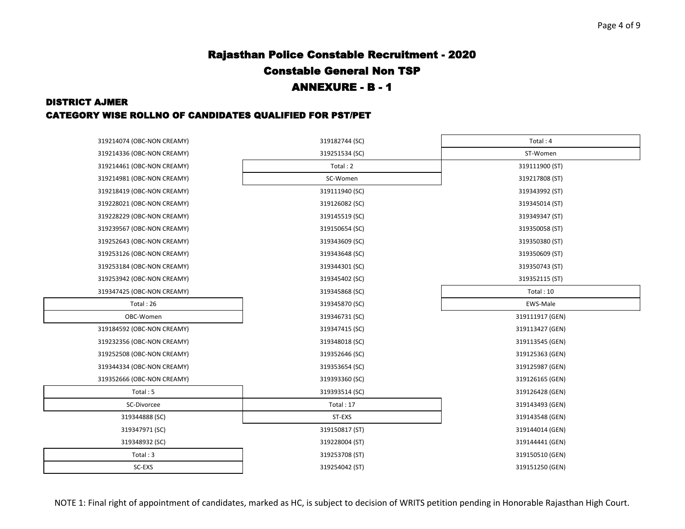#### DISTRICT AJMER

#### CATEGORY WISE ROLLNO OF CANDIDATES QUALIFIED FOR PST/PET

| 319214074 (OBC-NON CREAMY) | 319182744 (SC) | Total: 4        |
|----------------------------|----------------|-----------------|
| 319214336 (OBC-NON CREAMY) | 319251534 (SC) | ST-Women        |
| 319214461 (OBC-NON CREAMY) | Total: 2       | 319111900 (ST)  |
| 319214981 (OBC-NON CREAMY) | SC-Women       | 319217808 (ST)  |
| 319218419 (OBC-NON CREAMY) | 319111940 (SC) | 319343992 (ST)  |
| 319228021 (OBC-NON CREAMY) | 319126082 (SC) | 319345014 (ST)  |
| 319228229 (OBC-NON CREAMY) | 319145519 (SC) | 319349347 (ST)  |
| 319239567 (OBC-NON CREAMY) | 319150654 (SC) | 319350058 (ST)  |
| 319252643 (OBC-NON CREAMY) | 319343609 (SC) | 319350380 (ST)  |
| 319253126 (OBC-NON CREAMY) | 319343648 (SC) | 319350609 (ST)  |
| 319253184 (OBC-NON CREAMY) | 319344301 (SC) | 319350743 (ST)  |
| 319253942 (OBC-NON CREAMY) | 319345402 (SC) | 319352115 (ST)  |
| 319347425 (OBC-NON CREAMY) | 319345868 (SC) | Total: 10       |
| Total: 26                  | 319345870 (SC) | EWS-Male        |
| OBC-Women                  | 319346731 (SC) | 319111917 (GEN) |
| 319184592 (OBC-NON CREAMY) | 319347415 (SC) | 319113427 (GEN) |
| 319232356 (OBC-NON CREAMY) | 319348018 (SC) | 319113545 (GEN) |
| 319252508 (OBC-NON CREAMY) | 319352646 (SC) | 319125363 (GEN) |
| 319344334 (OBC-NON CREAMY) | 319353654 (SC) | 319125987 (GEN) |
| 319352666 (OBC-NON CREAMY) | 319393360 (SC) | 319126165 (GEN) |
| Total: 5                   | 319393514 (SC) | 319126428 (GEN) |
| SC-Divorcee                | Total: 17      | 319143493 (GEN) |
| 319344888 (SC)             | ST-EXS         | 319143548 (GEN) |
| 319347971 (SC)             | 319150817 (ST) | 319144014 (GEN) |
| 319348932 (SC)             | 319228004 (ST) | 319144441 (GEN) |
| Total: 3                   | 319253708 (ST) | 319150510 (GEN) |
| SC-EXS                     | 319254042 (ST) | 319151250 (GEN) |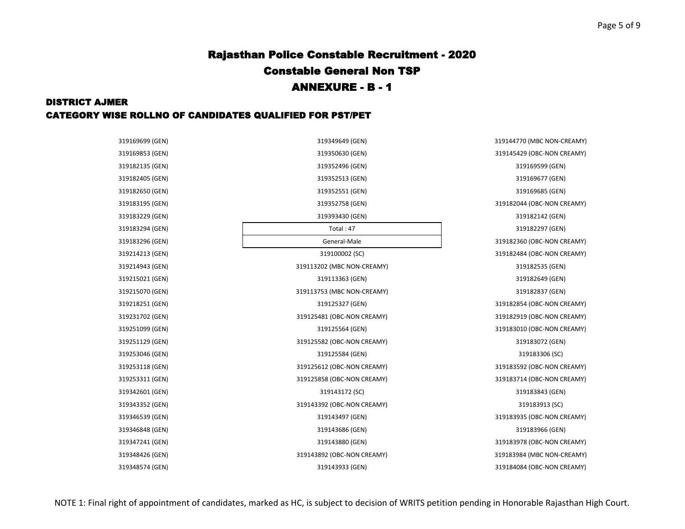### DISTRICT AJMER CATEGORY WISE ROLLNO OF CANDIDATES QUALIFIED FOR PST/PET

| 319169699 (GEN) | 319349649 (GEN)            | 319144770 (MBC NON-CREAMY) |
|-----------------|----------------------------|----------------------------|
| 319169853 (GEN) | 319350630 (GEN)            | 319145429 (OBC-NON CREAMY) |
| 319182135 (GEN) | 319352496 (GEN)            | 319169599 (GEN)            |
| 319182405 (GEN) | 319352513 (GEN)            | 319169677 (GEN)            |
| 319182650 (GEN) | 319352551 (GEN)            | 319169685 (GEN)            |
| 319183195 (GEN) | 319352758 (GEN)            | 319182044 (OBC-NON CREAMY) |
| 319183229 (GEN) | 319393430 (GEN)            | 319182142 (GEN)            |
| 319183294 (GEN) | Total: $47$                | 319182297 (GEN)            |
| 319183296 (GEN) | General-Male               | 319182360 (OBC-NON CREAMY) |
| 319214213 (GEN) | 319100002 (SC)             | 319182484 (OBC-NON CREAMY) |
| 319214943 (GEN) | 319113202 (MBC NON-CREAMY) | 319182535 (GEN)            |
| 319215021 (GEN) | 319113363 (GEN)            | 319182649 (GEN)            |
| 319215070 (GEN) | 319113753 (MBC NON-CREAMY) | 319182837 (GEN)            |
| 319218251 (GEN) | 319125327 (GEN)            | 319182854 (OBC-NON CREAMY) |
| 319231702 (GEN) | 319125481 (OBC-NON CREAMY) | 319182919 (OBC-NON CREAMY) |
| 319251099 (GEN) | 319125564 (GEN)            | 319183010 (OBC-NON CREAMY) |
| 319251129 (GEN) | 319125582 (OBC-NON CREAMY) | 319183072 (GEN)            |
| 319253046 (GEN) | 319125584 (GEN)            | 319183306 (SC)             |
| 319253118 (GEN) | 319125612 (OBC-NON CREAMY) | 319183592 (OBC-NON CREAMY) |
| 319253311 (GEN) | 319125858 (OBC-NON CREAMY) | 319183714 (OBC-NON CREAMY) |
| 319342601 (GEN) | 319143172 (SC)             | 319183843 (GEN)            |
| 319343352 (GEN) | 319143392 (OBC-NON CREAMY) | 319183913 (SC)             |
| 319346539 (GEN) | 319143497 (GEN)            | 319183935 (OBC-NON CREAMY) |
| 319346848 (GEN) | 319143686 (GEN)            | 319183966 (GEN)            |
| 319347241 (GEN) | 319143880 (GEN)            | 319183978 (OBC-NON CREAMY) |
| 319348426 (GEN) | 319143892 (OBC-NON CREAMY) | 319183984 (MBC NON-CREAMY) |
| 319348574 (GEN) | 319143933 (GEN)            | 319184084 (OBC-NON CREAMY) |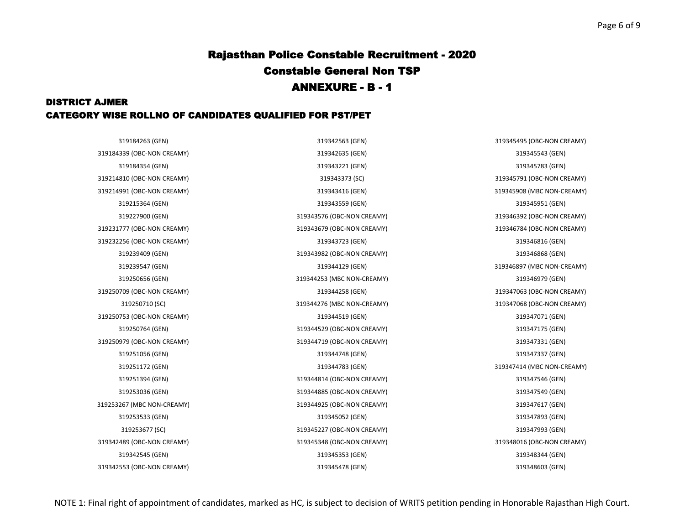### DISTRICT AJMER CATEGORY WISE ROLLNO OF CANDIDATES QUALIFIED FOR PST/PET

319184263 (GEN) 319342563 (GEN) 319345495 (OBC-NON CREAMY) 319227900 (GEN) 319343576 (OBC-NON CREAMY) 319346392 (OBC-NON CREAMY) 319239547 (GEN) 319344129 (GEN) 319346897 (MBC NON-CREAMY) 319250710 (SC) 319344276 (MBC NON-CREAMY) 319347068 (OBC-NON CREAMY) 319251172 (GEN) 319344783 (GEN) 319347414 (MBC NON-CREAMY)

319184354 (GEN) 319343221 (GEN) 319345783 (GEN) 319215364 (GEN) 319343559 (GEN) 319345951 (GEN) 319239409 (GEN) 319343982 (OBC-NON CREAMY) 319346868 (GEN) 319250656 (GEN) 319344253 (MBC NON-CREAMY) 319346979 (GEN) 319250764 (GEN) 319344529 (OBC-NON CREAMY) 319347175 (GEN) 319251056 (GEN) 319344748 (GEN) 319347337 (GEN) 319251394 (GEN) 319344814 (OBC-NON CREAMY) 319347546 (GEN) 319253036 (GEN) 319344885 (OBC-NON CREAMY) 319347549 (GEN) 319253533 (GEN) 319345052 (GEN) 319347893 (GEN) 319253677 (SC) 319345227 (OBC-NON CREAMY) 319347993 (GEN) 319342545 (GEN) 319345353 (GEN) 319348344 (GEN) 319342553 (OBC-NON CREAMY) 319345478 (GEN) 319348603 (GEN)

319184339 (OBC-NON CREAMY) 319342635 (GEN) 319345543 (GEN) 319214810 (OBC-NON CREAMY) 319343373 (SC) 319345791 (OBC-NON CREAMY) 319214991 (OBC-NON CREAMY) 319343416 (GEN) 319345908 (MBC NON-CREAMY) 319231777 (OBC-NON CREAMY) 319343679 (OBC-NON CREAMY) 319346784 (OBC-NON CREAMY) 319232256 (OBC-NON CREAMY) 319343723 (GEN) 319346816 (GEN) 319250709 (OBC-NON CREAMY) 319344258 (GEN) 319347063 (OBC-NON CREAMY) 319250753 (OBC-NON CREAMY) 319344519 (GEN) 319347071 (GEN) 319250979 (OBC-NON CREAMY) 319344719 (OBC-NON CREAMY) 319347331 (GEN) 319253267 (MBC NON-CREAMY) 319344925 (OBC-NON CREAMY) 319347617 (GEN) 319342489 (OBC-NON CREAMY) 319345348 (OBC-NON CREAMY) 319348016 (OBC-NON CREAMY)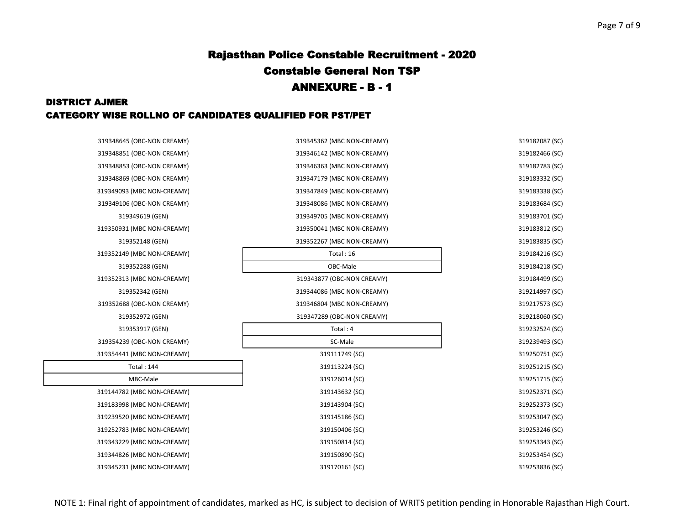### DISTRICT AJMER CATEGORY WISE ROLLNO OF CANDIDATES QUALIFIED FOR PST/PET

| 319348645 (OBC-NON CREAMY) | 319345362 (MBC NON-CREAMY) | 319182087 (SC) |
|----------------------------|----------------------------|----------------|
| 319348851 (OBC-NON CREAMY) | 319346142 (MBC NON-CREAMY) | 319182466 (SC) |
| 319348853 (OBC-NON CREAMY) | 319346363 (MBC NON-CREAMY) | 319182783 (SC) |
| 319348869 (OBC-NON CREAMY) | 319347179 (MBC NON-CREAMY) | 319183332 (SC) |
| 319349093 (MBC NON-CREAMY) | 319347849 (MBC NON-CREAMY) | 319183338 (SC) |
| 319349106 (OBC-NON CREAMY) | 319348086 (MBC NON-CREAMY) | 319183684 (SC) |
| 319349619 (GEN)            | 319349705 (MBC NON-CREAMY) | 319183701 (SC) |
| 319350931 (MBC NON-CREAMY) | 319350041 (MBC NON-CREAMY) | 319183812 (SC) |
| 319352148 (GEN)            | 319352267 (MBC NON-CREAMY) | 319183835 (SC) |
| 319352149 (MBC NON-CREAMY) | Total: 16                  | 319184216 (SC) |
| 319352288 (GEN)            | OBC-Male                   | 319184218 (SC) |
| 319352313 (MBC NON-CREAMY) | 319343877 (OBC-NON CREAMY) | 319184499 (SC) |
| 319352342 (GEN)            | 319344086 (MBC NON-CREAMY) | 319214997 (SC) |
| 319352688 (OBC-NON CREAMY) | 319346804 (MBC NON-CREAMY) | 319217573 (SC) |
| 319352972 (GEN)            | 319347289 (OBC-NON CREAMY) | 319218060 (SC) |
| 319353917 (GEN)            | Total: 4                   | 319232524 (SC) |
| 319354239 (OBC-NON CREAMY) | SC-Male                    | 319239493 (SC) |
| 319354441 (MBC NON-CREAMY) | 319111749 (SC)             | 319250751 (SC) |
| <b>Total: 144</b>          | 319113224 (SC)             | 319251215 (SC) |
| MBC-Male                   | 319126014 (SC)             | 319251715 (SC) |
| 319144782 (MBC NON-CREAMY) | 319143632 (SC)             | 319252371 (SC) |
| 319183998 (MBC NON-CREAMY) | 319143904 (SC)             | 319252373 (SC) |
| 319239520 (MBC NON-CREAMY) | 319145186 (SC)             | 319253047 (SC) |
| 319252783 (MBC NON-CREAMY) | 319150406 (SC)             | 319253246 (SC) |
| 319343229 (MBC NON-CREAMY) | 319150814 (SC)             | 319253343 (SC) |
| 319344826 (MBC NON-CREAMY) | 319150890 (SC)             | 319253454 (SC) |
| 319345231 (MBC NON-CREAMY) | 319170161 (SC)             | 319253836 (SC) |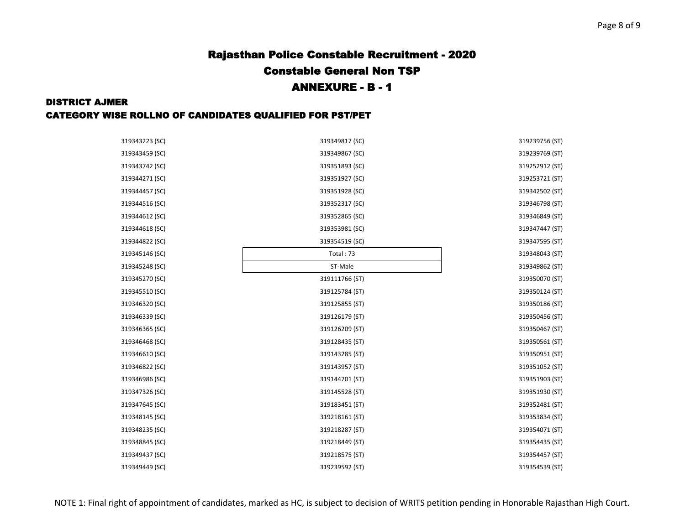#### Page 8 of 9

# Rajasthan Police Constable Recruitment - 2020 Constable General Non TSP ANNEXURE - B - 1

#### DISTRICT AJMER

#### CATEGORY WISE ROLLNO OF CANDIDATES QUALIFIED FOR PST/PET

| 319343223 (SC) | 319349817 (SC) | 319239756 (ST) |
|----------------|----------------|----------------|
| 319343459 (SC) | 319349867 (SC) | 319239769 (ST) |
| 319343742 (SC) | 319351893 (SC) | 319252912 (ST) |
| 319344271 (SC) | 319351927 (SC) | 319253721 (ST) |
| 319344457 (SC) | 319351928 (SC) | 319342502 (ST) |
| 319344516 (SC) | 319352317 (SC) | 319346798 (ST) |
| 319344612 (SC) | 319352865 (SC) | 319346849 (ST) |
| 319344618 (SC) | 319353981 (SC) | 319347447 (ST) |
| 319344822 (SC) | 319354519 (SC) | 319347595 (ST) |
| 319345146 (SC) | Total: 73      | 319348043 (ST) |
| 319345248 (SC) | ST-Male        | 319349862 (ST) |
| 319345270 (SC) | 319111766 (ST) | 319350070 (ST) |
| 319345510 (SC) | 319125784 (ST) | 319350124 (ST) |
| 319346320 (SC) | 319125855 (ST) | 319350186 (ST) |
| 319346339 (SC) | 319126179 (ST) | 319350456 (ST) |
| 319346365 (SC) | 319126209 (ST) | 319350467 (ST) |
| 319346468 (SC) | 319128435 (ST) | 319350561 (ST) |
| 319346610 (SC) | 319143285 (ST) | 319350951 (ST) |
| 319346822 (SC) | 319143957 (ST) | 319351052 (ST) |
| 319346986 (SC) | 319144701 (ST) | 319351903 (ST) |
| 319347326 (SC) | 319145528 (ST) | 319351930 (ST) |
| 319347645 (SC) | 319183451 (ST) | 319352481 (ST) |
| 319348145 (SC) | 319218161 (ST) | 319353834 (ST) |
| 319348235 (SC) | 319218287 (ST) | 319354071 (ST) |
| 319348845 (SC) | 319218449 (ST) | 319354435 (ST) |
| 319349437 (SC) | 319218575 (ST) | 319354457 (ST) |
| 319349449 (SC) | 319239592 (ST) | 319354539 (ST) |